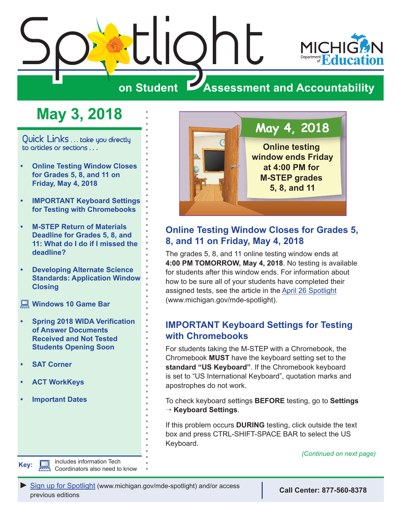<span id="page-0-0"></span>

# **May 3, 2018**

Quick Links ... take you directly to articles or sections . . .

- **• Online Testing Window Closes for Grades 5, 8, and 11 on Friday, May 4, 2018**
- **• IMPORTANT Keyboard Settings for Testing with Chromebooks**
- **• [M-STEP Return of Materials](#page-1-0)  [Deadline for Grades 5, 8, and](#page-1-0)  [11: What do I do if I missed the](#page-1-0)  [deadline?](#page-1-0)**
- **• [Developing Alternate Science](#page-1-0)  [Standards: Application Window](#page-1-0)  [Closing](#page-1-0)**

**[Windows 10 Game Bar](#page-1-0)** 

- **• [Spring 2018 WIDA Verification](#page-2-0)  [of Answer Documents](#page-2-0)  [Received and Not Tested](#page-2-0)  [Students Opening Soon](#page-2-0)**
- **• [SAT Corner](#page-4-0)**
- **• [ACT WorkKeys](#page-6-0)**
- **• [Important Dates](#page-8-0)**

**Key: includes information Tech** 

Coordinators also need to know



# **Online Testing Window Closes for Grades 5, 8, and 11 on Friday, May 4, 2018**

The grades 5, 8, and 11 online testing window ends at **4:00 PM TOMORROW, May 4, 2018**. No testing is available for students after this window ends. For information about how to be sure all of your students have completed their assigned tests, see the article in the [April 26 Spotlight](https://www.michigan.gov/documents/mde/Spotlight_4-26-18_621546_7.pdf) (www.michigan.gov/mde-spotlight).

# **IMPORTANT Keyboard Settings for Testing with Chromebooks**

For students taking the M-STEP with a Chromebook, the Chromebook **MUST** have the keyboard setting set to the **standard "US Keyboard"**. If the Chromebook keyboard is set to "US International Keyboard", quotation marks and apostrophes do not work.

To check keyboard settings **BEFORE** testing, go to **Settings** → **Keyboard Settings**.

If this problem occurs **DURING** testing, click outside the text box and press CTRL-SHIFT-SPACE BAR to select the US Keyboard.

*(Continued on next page)*

*►* [Sign up for Spotlight](https://public.govdelivery.com/accounts/MIMDE/subscriber/new) [\(www.michigan.gov/mde](www.michigan.gov/mde-spotlight)-spotlight) and/or access previous editions **Call Center: 877-560-8378**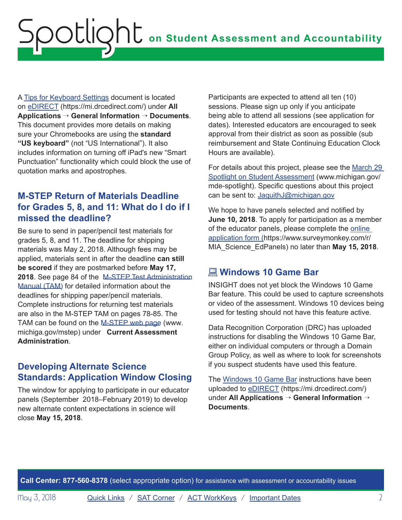<span id="page-1-0"></span>A [Tips for Keyboard Settings](https://mi.drcedirect.com/Documents/Unsecure/Doc.aspx?id=6c547fa1-5085-4eed-8450-d8e5ee76a162) document is located on [eDIRECT](https://mi.drcedirect.com) (https://mi.drcedirect.com/) under **All Applications** → **General Information** → **Documents**. This document provides more details on making sure your Chromebooks are using the **standard "US keyboard"** (not "US International"). It also includes information on turning off iPad's new "Smart Punctuation" functionality which could block the use of quotation marks and apostrophes.

# **M-STEP Return of Materials Deadline for Grades 5, 8, and 11: What do I do if I missed the deadline?**

Be sure to send in paper/pencil test materials for grades 5, 8, and 11. The deadline for shipping materials was May 2, 2018. Although fees may be applied, materials sent in after the deadline **can still be scored** if they are postmarked before **May 17, 2018**. See page 84 of the [M-STEP Test Administration](https://www.michigan.gov/documents/mde/Spring_2018_M-STEP_TAM_612623_7.PDF)  [Manual \(TAM\) f](https://www.michigan.gov/documents/mde/Spring_2018_M-STEP_TAM_612623_7.PDF)or detailed information about the deadlines for shipping paper/pencil materials. Complete instructions for returning test materials are also in the M-STEP TAM on pages 78-85. The TAM can be found on the [M-STEP web page](www.michigan.gov/mstep) (www. $\square$ michigaQ.gov/mstep) under **Current Assessment Administration**.

# **Developing Alternate Science Standards: Application Window Closing**

The window for applying to participate in our educator panels (September 2018–February 2019) to develop new alternate content expectations in science will close **May 15, 2018**.

Participants are expected to attend all ten (10) sessions. Please sign up only if you anticipate being able to attend all sessions (see application for dates). Interested educators are encouraged to seek approval from their district as soon as possible (sub reimbursement and State Continuing Education Clock Hours are available).

For details about this project, please see the [March 29](https://www.michigan.gov/documents/mde/Spotlight_3-29-18_618889_7.pdf)  [Spotlight on Student Assessment](https://www.michigan.gov/documents/mde/Spotlight_3-29-18_618889_7.pdf) (www.michigan.gov/ mde-spotlight). Specific questions about this project can be sent to: [JaquithJ@michigan.gov](mailto:JaquithJ%40michigan.gov?subject=)

We hope to have panels selected and notified by **June 10, 2018**. To apply for participation as a member of the educator panels, please complete the [online](https://www.surveymonkey.com/r/MIA_Science_EdPanels)  [application form](https://www.surveymonkey.com/r/MIA_Science_EdPanels) (https://www.surveymonkey.com/r/ MIA\_Science\_EdPanels) no later than **May 15, 2018**.

# **Windows 10 Game Bar**

INSIGHT does not yet block the Windows 10 Game Bar feature. This could be used to capture screenshots or video of the assessment. Windows 10 devices being used for testing should not have this feature active.

Data Recognition Corporation (DRC) has uploaded instructions for disabling the Windows 10 Game Bar, either on individual computers or through a Domain Group Policy, as well as where to look for screenshots if you suspect students have used this feature.

The [Windows 10 Game Bar](https://mi.drcedirect.com/Documents/Unsecure/Doc.aspx?id=47c55617-6c60-47c3-a2bc-c8dcc5b0e963) instructions have been uploaded to [eDIRECT](https://mi.drcedirect.com) (https://mi.drcedirect.com/) under **All Applications** → **General Information** → **Documents**.

**Call Center: 877-560-8378** (select appropriate option) for assistance with assessment or accountability issues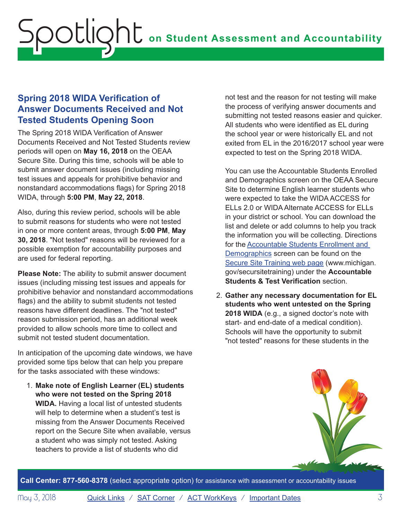# <span id="page-2-0"></span>**Spring 2018 WIDA Verification of Answer Documents Received and Not Tested Students Opening Soon**

The Spring 2018 WIDA Verification of Answer Documents Received and Not Tested Students review periods will open on **May 16, 2018** on the OEAA Secure Site. During this time, schools will be able to submit answer document issues (including missing test issues and appeals for prohibitive behavior and nonstandard accommodations flags) for Spring 2018 WIDA, through **5:00 PM**, **May 22, 2018**.

Also, during this review period, schools will be able to submit reasons for students who were not tested in one or more content areas, through **5:00 PM**, **May 30, 2018**. "Not tested" reasons will be reviewed for a possible exemption for accountability purposes and are used for federal reporting.

**Please Note:** The ability to submit answer document issues (including missing test issues and appeals for prohibitive behavior and nonstandard accommodations flags) and the ability to submit students not tested reasons have different deadlines. The "not tested" reason submission period, has an additional week provided to allow schools more time to collect and submit not tested student documentation.

In anticipation of the upcoming date windows, we have provided some tips below that can help you prepare for the tasks associated with these windows:

1. **Make note of English Learner (EL) students who were not tested on the Spring 2018 WIDA.** Having a local list of untested students will help to determine when a student's test is missing from the Answer Documents Received report on the Secure Site when available, versus a student who was simply not tested. Asking teachers to provide a list of students who did

not test and the reason for not testing will make the process of verifying answer documents and submitting not tested reasons easier and quicker. All students who were identified as EL during the school year or were historically EL and not exited from EL in the 2016/2017 school year were expected to test on the Spring 2018 WIDA.

You can use the Accountable Students Enrolled and Demographics screen on the OEAA Secure Site to determine English learner students who were expected to take the WIDA ACCESS for ELLs 2.0 or WIDA Alternate ACCESS for ELLs in your district or school. You can download the list and delete or add columns to help you track the information you will be collecting. Directions for the [Accountable Students Enrollment and](https://www.michigan.gov/documents/mde/Accountable_Students_Enrolled_and_Demographics_621314_7.pdf)  [Demographics](https://www.michigan.gov/documents/mde/Accountable_Students_Enrolled_and_Demographics_621314_7.pdf) screen can be found on the [Secure Site Training web page](http://www.michigan.gov/securesitetraining) (www.michigan. gov/secursitetraining) under the **Accountable Students & Test Verification** section.

2. **Gather any necessary documentation for EL students who went untested on the Spring 2018 WIDA** (e.g., a signed doctor's note with start- and end-date of a medical condition). Schools will have the opportunity to submit "not tested" reasons for these students in the



**Call Center: 877-560-8378** (select appropriate option) for assistance with assessment or accountability issues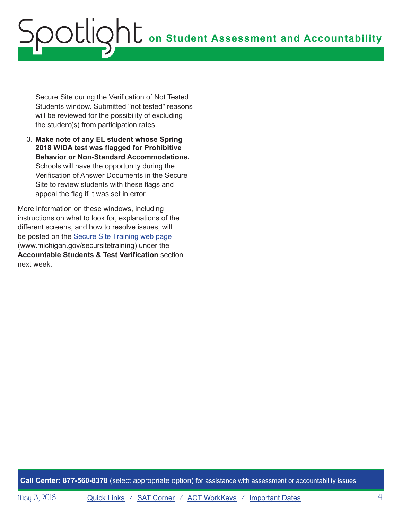# **on Student Assessment and Accountability** Spotlight

Secure Site during the Verification of Not Tested Students window. Submitted "not tested" reasons will be reviewed for the possibility of excluding the student(s) from participation rates.

3. **Make note of any EL student whose Spring 2018 WIDA test was flagged for Prohibitive Behavior or Non-Standard Accommodations.** Schools will have the opportunity during the Verification of Answer Documents in the Secure Site to review students with these flags and appeal the flag if it was set in error.

More information on these windows, including instructions on what to look for, explanations of the different screens, and how to resolve issues, will be posted on the [Secure Site Training web page](http://www.michigan.gov/securesitetraining) (www.michigan.gov/secursitetraining) under the **Accountable Students & Test Verification** section next week.

**Call Center: 877-560-8378** (select appropriate option) for assistance with assessment or accountability issues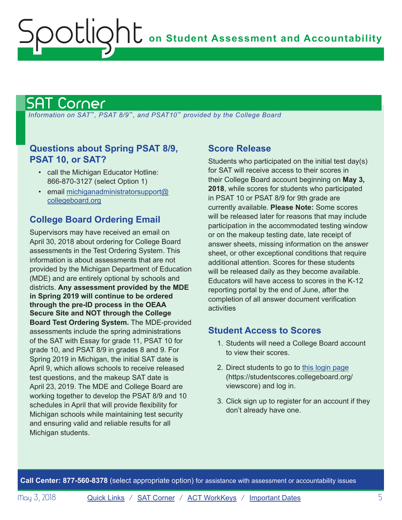# <span id="page-4-1"></span>SAT Corner

<span id="page-4-0"></span>ootlig

 *Information on SAT*™*, PSAT 8/9*™*, and PSAT10*™ *provided by the College Board*

## **Questions about Spring PSAT 8/9, PSAT 10, or SAT?**

- call the Michigan Educator Hotline: 866-870-3127 (select Option 1)
- email [michiganadministratorsupport@](mailto:michiganadministratorsupport%40collegeboard.org?subject=) [collegeboard.org](mailto:michiganadministratorsupport%40collegeboard.org?subject=)

# **College Board Ordering Email**

Supervisors may have received an email on April 30, 2018 about ordering for College Board assessments in the Test Ordering System. This information is about assessments that are not provided by the Michigan Department of Education (MDE) and are entirely optional by schools and districts. **Any assessment provided by the MDE in Spring 2019 will continue to be ordered through the pre-ID process in the OEAA Secure Site and NOT through the College Board Test Ordering System.** The MDE-provided assessments include the spring administrations of the SAT with Essay for grade 11, PSAT 10 for grade 10, and PSAT 8/9 in grades 8 and 9. For Spring 2019 in Michigan, the initial SAT date is April 9, which allows schools to receive released test questions, and the makeup SAT date is April 23, 2019. The MDE and College Board are working together to develop the PSAT 8/9 and 10 schedules in April that will provide flexibility for Michigan schools while maintaining test security and ensuring valid and reliable results for all Michigan students.

## **Score Release**

Students who participated on the initial test day(s) for SAT will receive access to their scores in their College Board account beginning on **May 3, 2018**, while scores for students who participated in PSAT 10 or PSAT 8/9 for 9th grade are currently available. **Please Note:** Some scores will be released later for reasons that may include participation in the accommodated testing window or on the makeup testing date, late receipt of answer sheets, missing information on the answer sheet, or other exceptional conditions that require additional attention. Scores for these students will be released daily as they become available. Educators will have access to scores in the K-12 reporting portal by the end of June, after the completion of all answer document verification activities

# **Student Access to Scores**

- 1. Students will need a College Board account to view their scores.
- 2. Direct students to go to [this login page](https://studentscores.collegeboard.org/viewscore) (https://studentscores.collegeboard.org/ viewscore) and log in.
- 3. Click sign up to register for an account if they don't already have one.

**Call Center: 877-560-8378** (select appropriate option) for assistance with assessment or accountability issues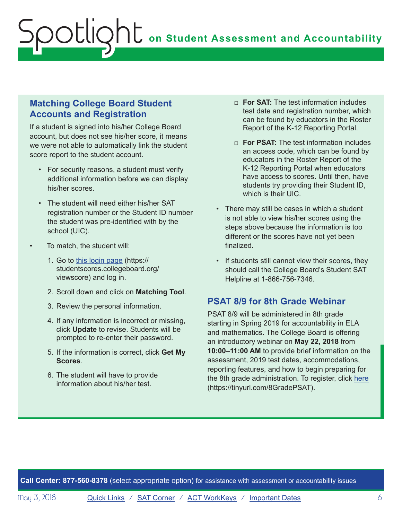# **Matching College Board Student Accounts and Registration**

If a student is signed into his/her College Board account, but does not see his/her score, it means we were not able to automatically link the student score report to the student account.

- For security reasons, a student must verify additional information before we can display his/her scores.
- The student will need either his/her SAT registration number or the Student ID number the student was pre-identified with by the school (UIC).
- To match, the student will:
	- 1. Go to [this login page](https://studentscores.collegeboard.org/viewscore) (https:// studentscores.collegeboard.org/ viewscore) and log in.
	- 2. Scroll down and click on **Matching Tool**.
	- 3. Review the personal information.
	- 4. If any information is incorrect or missing, click **Update** to revise. Students will be prompted to re-enter their password.
	- 5. If the information is correct, click **Get My Scores**.
	- 6. The student will have to provide information about his/her test.
- □ **For SAT:** The test information includes test date and registration number, which can be found by educators in the Roster Report of the K-12 Reporting Portal.
- □ **For PSAT:** The test information includes an access code, which can be found by educators in the Roster Report of the K-12 Reporting Portal when educators have access to scores. Until then, have students try providing their Student ID, which is their UIC.
- There may still be cases in which a student is not able to view his/her scores using the steps above because the information is too different or the scores have not yet been finalized.
- If students still cannot view their scores, they should call the College Board's Student SAT Helpline at 1-866-756-7346.

#### **PSAT 8/9 for 8th Grade Webinar**

PSAT 8/9 will be administered in 8th grade starting in Spring 2019 for accountability in ELA and mathematics. The College Board is offering an introductory webinar on **May 22, 2018** from **10:00–11:00 AM** to provide brief information on the assessment, 2019 test dates, accommodations, reporting features, and how to begin preparing for the 8th grade administration. To register, click [here](https://tinyurl.com/8GradePSAT) (https://tinyurl.com/8GradePSAT).

**Call Center: 877-560-8378** (select appropriate option) for assistance with assessment or accountability issues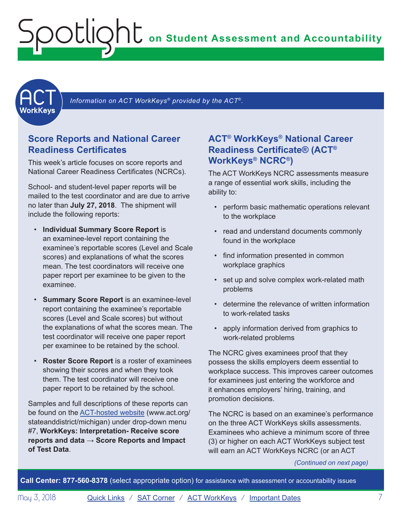**on Student Assessment and Accountability**

<span id="page-6-1"></span>

Information on ACT WorkKeys<sup>®</sup> provided by the ACT<sup>®</sup>.

### **Score Reports and National Career Readiness Certificates**

<span id="page-6-0"></span>Spotlight

This week's article focuses on score reports and National Career Readiness Certificates (NCRCs).

School- and student-level paper reports will be mailed to the test coordinator and are due to arrive no later than **July 27, 2018**. The shipment will include the following reports:

- **Individual Summary Score Report** is an examinee-level report containing the examinee's reportable scores (Level and Scale scores) and explanations of what the scores mean. The test coordinators will receive one paper report per examinee to be given to the examinee.
- **Summary Score Report** is an examinee-level report containing the examinee's reportable scores (Level and Scale scores) but without the explanations of what the scores mean. The test coordinator will receive one paper report per examinee to be retained by the school.
- **Roster Score Report** is a roster of examinees showing their scores and when they took them. The test coordinator will receive one paper report to be retained by the school.

Samples and full descriptions of these reports can be found on the [ACT-hosted website](http://www.act.org/stateanddistrict/michigan) (www.act.org/ stateanddistrict/michigan) under drop-down menu #7, **WorkKeys: Interpretation- Receive score reports and data** → **Score Reports and Impact of Test Data**.

# **ACT® WorkKeys® National Career Readiness Certificate® (ACT® WorkKeys® NCRC®)**

The ACT WorkKeys NCRC assessments measure a range of essential work skills, including the ability to:

- perform basic mathematic operations relevant to the workplace
- read and understand documents commonly found in the workplace
- find information presented in common workplace graphics
- set up and solve complex work-related math problems
- determine the relevance of written information to work-related tasks
- apply information derived from graphics to work-related problems

The NCRC gives examinees proof that they possess the skills employers deem essential to workplace success. This improves career outcomes for examinees just entering the workforce and it enhances employers' hiring, training, and promotion decisions.

The NCRC is based on an examinee's performance on the three ACT WorkKeys skills assessments. Examinees who achieve a minimum score of three (3) or higher on each ACT WorkKeys subject test will earn an ACT WorkKeys NCRC (or an ACT

*(Continued on next page)*

**Call Center: 877-560-8378** (select appropriate option) for assistance with assessment or accountability issues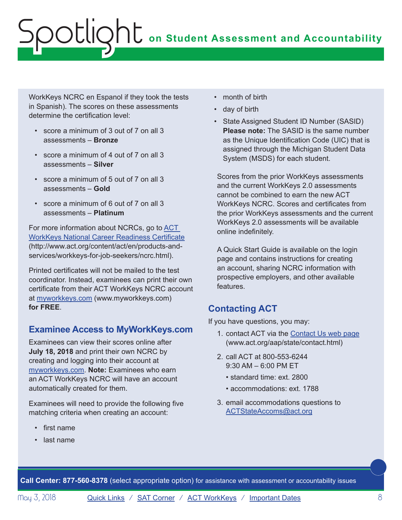WorkKeys NCRC en Espanol if they took the tests in Spanish). The scores on these assessments determine the certification level:

- score a minimum of 3 out of 7 on all 3 assessments – **Bronze**
- score a minimum of 4 out of 7 on all 3 assessments – **Silver**
- score a minimum of 5 out of 7 on all 3 assessments – **Gold**
- score a minimum of 6 out of 7 on all 3 assessments – **Platinum**

For more information about NCRCs, go to [ACT](http://www.act.org/content/act/en/products-and-services/workkeys-for-job-seekers/ncrc.html)  [WorkKeys National Career Readiness Certificate](http://www.act.org/content/act/en/products-and-services/workkeys-for-job-seekers/ncrc.html) (http://www.act.org/content/act/en/products-andservices/workkeys-for-job-seekers/ncrc.html).

Printed certificates will not be mailed to the test coordinator. Instead, examinees can print their own certificate from their ACT WorkKeys NCRC account at [myworkkeys.com](http://myworkkeys.com) (www.myworkkeys.com) **for FREE**.

# **Examinee Access to MyWorkKeys.com**

Examinees can view their scores online after **July 18, 2018** and print their own NCRC by creating and logging into their account at [myworkkeys.com](http://myworkkeys.com). **Note:** Examinees who earn an ACT WorkKeys NCRC will have an account automatically created for them.

Examinees will need to provide the following five matching criteria when creating an account:

- first name
- last name
- month of birth
- day of birth
- State Assigned Student ID Number (SASID) **Please note:** The SASID is the same number as the Unique Identification Code (UIC) that is assigned through the Michigan Student Data System (MSDS) for each student.

Scores from the prior WorkKeys assessments and the current WorkKeys 2.0 assessments cannot be combined to earn the new ACT WorkKeys NCRC. Scores and certificates from the prior WorkKeys assessments and the current WorkKeys 2.0 assessments will be available online indefinitely.

A Quick Start Guide is available on the login page and contains instructions for creating an account, sharing NCRC information with prospective employers, and other available features.

# **Contacting ACT**

If you have questions, you may:

- 1. contact ACT via the [Contact Us web page](http://www.act.org/aap/state/contact.html) (<www.act.org/aap/state/contact.html>)
- 2. call ACT at 800-553-6244 9:30 AM – 6:00 PM ET
	- standard time: ext. 2800
	- accommodations: ext. 1788
- 3. email accommodations questions to [ACTStateAccoms@act.org](mailto:ACTStateAccoms%40act.org?subject=)

**Call Center: 877-560-8378** (select appropriate option) for assistance with assessment or accountability issues